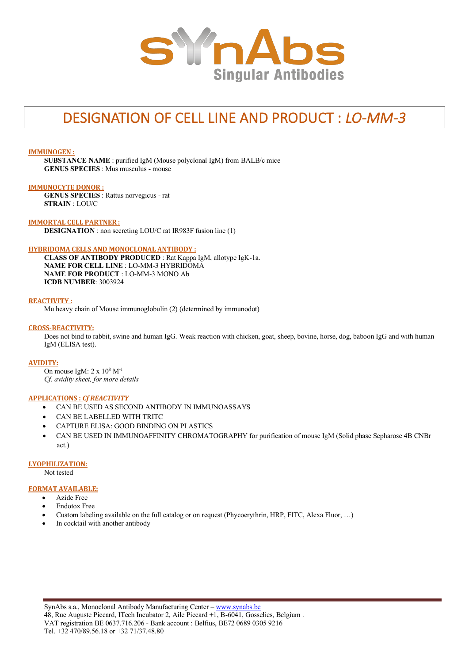

# DESIGNATION OF CELL LINE AND PRODUCT : *LO-MM-3*

**IMMUNOGEN :**

**SUBSTANCE NAME** : purified IgM (Mouse polyclonal IgM) from BALB/c mice **GENUS SPECIES** : Mus musculus - mouse

### **IMMUNOCYTE DONOR :**

**GENUS SPECIES** : Rattus norvegicus - rat **STRAIN** : LOU/C

**IMMORTAL CELL PARTNER : DESIGNATION** : non secreting LOU/C rat IR983F fusion line (1)

# **HYBRIDOMA CELLS AND MONOCLONAL ANTIBODY :**

**CLASS OF ANTIBODY PRODUCED** : Rat Kappa IgM, allotype IgK-1a. **NAME FOR CELL LINE** : LO-MM-3 HYBRIDOMA **NAME FOR PRODUCT** : LO-MM-3 MONO Ab **ICDB NUMBER**: 3003924

### **REACTIVITY :**

Mu heavy chain of Mouse immunoglobulin (2) (determined by immunodot)

### **CROSS-REACTIVITY:**

Does not bind to rabbit, swine and human IgG. Weak reaction with chicken, goat, sheep, bovine, horse, dog, baboon IgG and with human IgM (ELISA test).

#### **AVIDITY:**

On mouse IgM:  $2 \times 10^8$  M<sup>-1</sup> *Cf. avidity sheet, for more details*

# **APPLICATIONS :** *Cf REACTIVITY*

- CAN BE USED AS SECOND ANTIBODY IN IMMUNOASSAYS
- CAN BE LABELLED WITH TRITC
- CAPTURE ELISA: GOOD BINDING ON PLASTICS
- CAN BE USED IN IMMUNOAFFINITY CHROMATOGRAPHY for purification of mouse IgM (Solid phase Sepharose 4B CNBr act.)

#### **LYOPHILIZATION:**

Not tested

# **FORMAT AVAILABLE:**

- Azide Free
- Endotox Free
- Custom labeling available on the full catalog or on request (Phycoerythrin, HRP, FITC, Alexa Fluor, …)
- In cocktail with another antibody